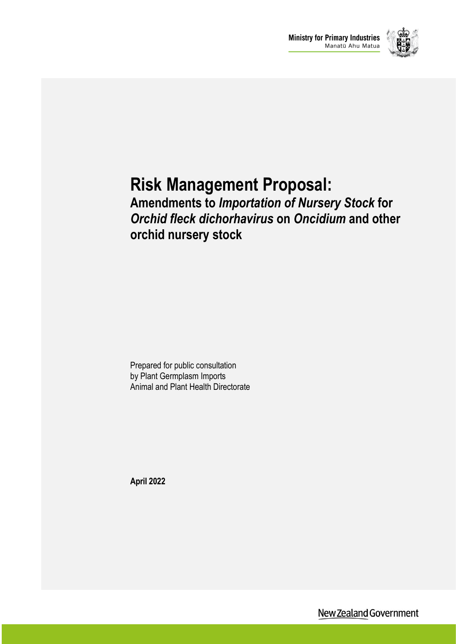

# **Risk Management Proposal:**

### **Amendments to** *Importation of Nursery Stock* **for**  *Orchid fleck dichorhavirus* **on** *Oncidium* **and other orchid nursery stock**

Prepared for public consultation by Plant Germplasm Imports Animal and Plant Health Directorate

**April 2022**

New Zealand Government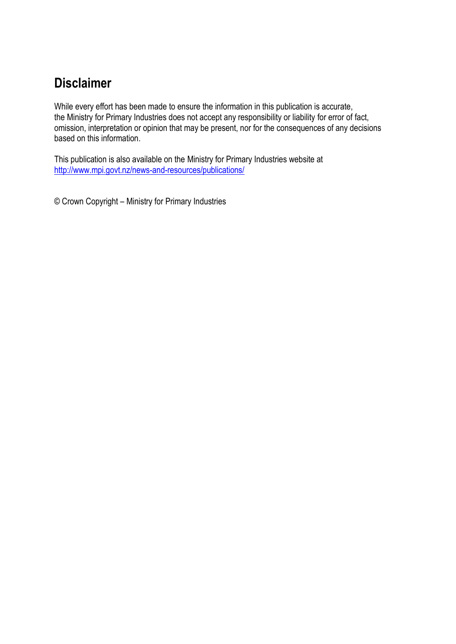### **Disclaimer**

While every effort has been made to ensure the information in this publication is accurate, the Ministry for Primary Industries does not accept any responsibility or liability for error of fact, omission, interpretation or opinion that may be present, nor for the consequences of any decisions based on this information.

This publication is also available on the Ministry for Primary Industries website at <http://www.mpi.govt.nz/news-and-resources/publications/>

© Crown Copyright – Ministry for Primary Industries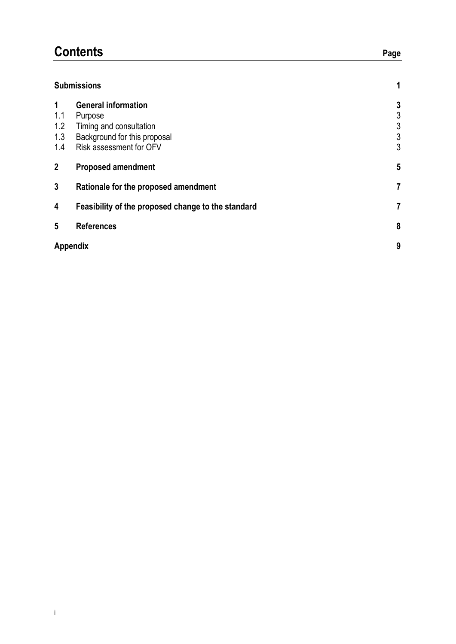### **Contents** Page

#### **Submissions 1**

| 1<br>1.1<br>1.2<br>1.3<br>1.4 | <b>General information</b><br>Purpose<br>Timing and consultation<br>Background for this proposal<br>Risk assessment for OFV | 3<br>3<br>3<br>3<br>3 |
|-------------------------------|-----------------------------------------------------------------------------------------------------------------------------|-----------------------|
| $\overline{2}$                | <b>Proposed amendment</b>                                                                                                   | 5                     |
| 3                             | Rationale for the proposed amendment                                                                                        | 7                     |
| 4                             | Feasibility of the proposed change to the standard                                                                          | 7                     |
| 5                             | <b>References</b>                                                                                                           | 8                     |
|                               | Appendix                                                                                                                    | 9                     |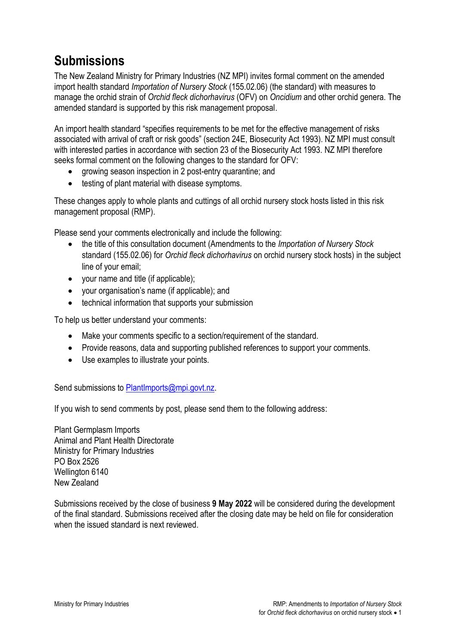### **Submissions**

The New Zealand Ministry for Primary Industries (NZ MPI) invites formal comment on the amended import health standard *Importation of Nursery Stock* (155.02.06) (the standard) with measures to manage the orchid strain of *Orchid fleck dichorhavirus* (OFV) on *Oncidium* and other orchid genera. The amended standard is supported by this risk management proposal.

An import health standard "specifies requirements to be met for the effective management of risks associated with arrival of craft or risk goods" (section 24E, Biosecurity Act 1993). NZ MPI must consult with interested parties in accordance with section 23 of the Biosecurity Act 1993. NZ MPI therefore seeks formal comment on the following changes to the standard for OFV:

- growing season inspection in 2 post-entry quarantine; and
- testing of plant material with disease symptoms.

These changes apply to whole plants and cuttings of all orchid nursery stock hosts listed in this risk management proposal (RMP).

Please send your comments electronically and include the following:

- the title of this consultation document (Amendments to the *Importation of Nursery Stock* standard (155.02.06) for *Orchid fleck dichorhavirus* on orchid nursery stock hosts) in the subject line of your email;
- your name and title (if applicable);
- your organisation's name (if applicable); and
- technical information that supports your submission

To help us better understand your comments:

- Make your comments specific to a section/requirement of the standard.
- Provide reasons, data and supporting published references to support your comments.
- Use examples to illustrate your points.

Send submissions to **PlantImports@mpi.govt.nz.** 

If you wish to send comments by post, please send them to the following address:

Plant Germplasm Imports Animal and Plant Health Directorate Ministry for Primary Industries PO Box 2526 Wellington 6140 New Zealand

Submissions received by the close of business **9 May 2022** will be considered during the development of the final standard. Submissions received after the closing date may be held on file for consideration when the issued standard is next reviewed.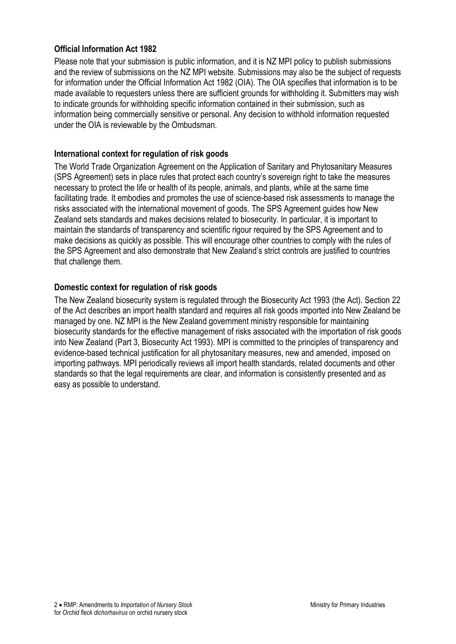#### **Official Information Act 1982**

Please note that your submission is public information, and it is NZ MPI policy to publish submissions and the review of submissions on the NZ MPI website. Submissions may also be the subject of requests for information under the Official Information Act 1982 (OIA). The OIA specifies that information is to be made available to requesters unless there are sufficient grounds for withholding it. Submitters may wish to indicate grounds for withholding specific information contained in their submission, such as information being commercially sensitive or personal. Any decision to withhold information requested under the OIA is reviewable by the Ombudsman.

#### **International context for regulation of risk goods**

The World Trade Organization Agreement on the Application of Sanitary and Phytosanitary Measures (SPS Agreement) sets in place rules that protect each country's sovereign right to take the measures necessary to protect the life or health of its people, animals, and plants, while at the same time facilitating trade. It embodies and promotes the use of science-based risk assessments to manage the risks associated with the international movement of goods. The SPS Agreement guides how New Zealand sets standards and makes decisions related to biosecurity. In particular, it is important to maintain the standards of transparency and scientific rigour required by the SPS Agreement and to make decisions as quickly as possible. This will encourage other countries to comply with the rules of the SPS Agreement and also demonstrate that New Zealand's strict controls are justified to countries that challenge them.

#### **Domestic context for regulation of risk goods**

The New Zealand biosecurity system is regulated through the Biosecurity Act 1993 (the Act). Section 22 of the Act describes an import health standard and requires all risk goods imported into New Zealand be managed by one. NZ MPI is the New Zealand government ministry responsible for maintaining biosecurity standards for the effective management of risks associated with the importation of risk goods into New Zealand (Part 3, Biosecurity Act 1993). MPI is committed to the principles of transparency and evidence-based technical justification for all phytosanitary measures, new and amended, imposed on importing pathways. MPI periodically reviews all import health standards, related documents and other standards so that the legal requirements are clear, and information is consistently presented and as easy as possible to understand.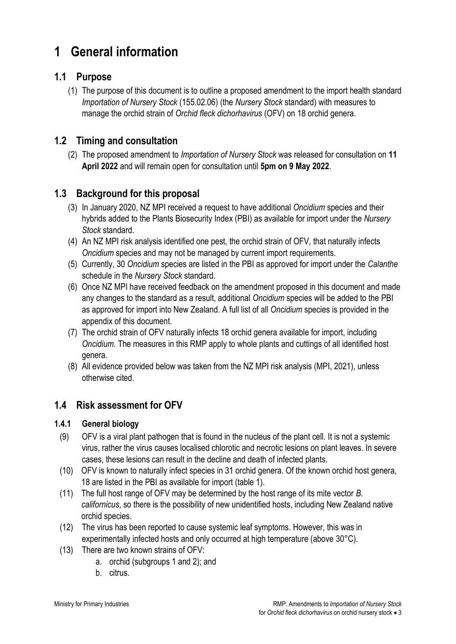### **1 General information**

#### **1.1 Purpose**

(1) The purpose of this document is to outline a proposed amendment to the import health standard *Importation of Nursery Stock* (155.02.06) (the *Nursery Stock* standard) with measures to manage the orchid strain of *Orchid fleck dichorhavirus* (OFV) on 18 orchid genera.

#### **1.2 Timing and consultation**

(2) The proposed amendment to *Importation of Nursery Stock* was released for consultation on **11 April 2022** and will remain open for consultation until **5pm on 9 May 2022**.

#### **1.3 Background for this proposal**

- (3) In January 2020, NZ MPI received a request to have additional *Oncidium* species and their hybrids added to the Plants Biosecurity Index (PBI) as available for import under the *Nursery Stock* standard.
- (4) An NZ MPI risk analysis identified one pest, the orchid strain of OFV*,* that naturally infects *Oncidium* species and may not be managed by current import requirements.
- (5) Currently, 30 *Oncidium* species are listed in the PBI as approved for import under the *Calanthe* schedule in the *Nursery Stock* standard.
- (6) Once NZ MPI have received feedback on the amendment proposed in this document and made any changes to the standard as a result, additional *Oncidium* species will be added to the PBI as approved for import into New Zealand. A full list of all *Oncidium* species is provided in the appendix of this document.
- (7) The orchid strain of OFV naturally infects 18 orchid genera available for import, including *Oncidium*. The measures in this RMP apply to whole plants and cuttings of all identified host genera.
- (8) All evidence provided below was taken from the NZ MPI risk analysis (MPI, 2021), unless otherwise cited.

### **1.4 Risk assessment for OFV**

#### **1.4.1 General biology**

- (9) OFV is a viral plant pathogen that is found in the nucleus of the plant cell. It is not a systemic virus, rather the virus causes localised chlorotic and necrotic lesions on plant leaves. In severe cases, these lesions can result in the decline and death of infected plants.
- (10) OFV is known to naturally infect species in 31 orchid genera. Of the known orchid host genera, 18 are listed in the PBI as available for import (table 1).
- (11) The full host range of OFV may be determined by the host range of its mite vector *B. californicus*, so there is the possibility of new unidentified hosts, including New Zealand native orchid species.
- (12) The virus has been reported to cause systemic leaf symptoms. However, this was in experimentally infected hosts and only occurred at high temperature (above 30°C).
- (13) There are two known strains of OFV:
	- a. orchid (subgroups 1 and 2); and
	- b. citrus.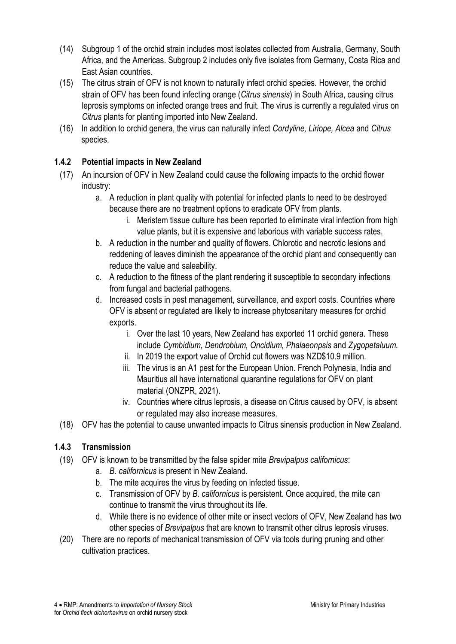- (14) Subgroup 1 of the orchid strain includes most isolates collected from Australia, Germany, South Africa, and the Americas. Subgroup 2 includes only five isolates from Germany, Costa Rica and East Asian countries.
- (15) The citrus strain of OFV is not known to naturally infect orchid species. However, the orchid strain of OFV has been found infecting orange (*Citrus sinensis*) in South Africa, causing citrus leprosis symptoms on infected orange trees and fruit. The virus is currently a regulated virus on *Citrus* plants for planting imported into New Zealand.
- (16) In addition to orchid genera, the virus can naturally infect *Cordyline, Liriope, Alcea* and *Citrus*  species.

#### **1.4.2 Potential impacts in New Zealand**

- (17) An incursion of OFV in New Zealand could cause the following impacts to the orchid flower industry:
	- a. A reduction in plant quality with potential for infected plants to need to be destroyed because there are no treatment options to eradicate OFV from plants.
		- i. Meristem tissue culture has been reported to eliminate viral infection from high value plants, but it is expensive and laborious with variable success rates.
	- b. A reduction in the number and quality of flowers. Chlorotic and necrotic lesions and reddening of leaves diminish the appearance of the orchid plant and consequently can reduce the value and saleability.
	- c. A reduction to the fitness of the plant rendering it susceptible to secondary infections from fungal and bacterial pathogens.
	- d. Increased costs in pest management, surveillance, and export costs. Countries where OFV is absent or regulated are likely to increase phytosanitary measures for orchid exports.
		- i. Over the last 10 years, New Zealand has exported 11 orchid genera. These include *Cymbidium, Dendrobium, Oncidium, Phalaeonpsis* and *Zygopetaluum.*
		- ii. In 2019 the export value of Orchid cut flowers was NZD\$10.9 million.
		- iii. The virus is an A1 pest for the European Union. French Polynesia, India and Mauritius all have international quarantine regulations for OFV on plant material (ONZPR, 2021).
		- iv. Countries where citrus leprosis, a disease on Citrus caused by OFV, is absent or regulated may also increase measures.
- (18) OFV has the potential to cause unwanted impacts to Citrus sinensis production in New Zealand.

#### **1.4.3 Transmission**

- (19) OFV is known to be transmitted by the false spider mite *Brevipalpus californicus*:
	- a. *B. californicus* is present in New Zealand.
	- b. The mite acquires the virus by feeding on infected tissue.
	- c. Transmission of OFV by *B. californicus* is persistent. Once acquired, the mite can continue to transmit the virus throughout its life.
	- d. While there is no evidence of other mite or insect vectors of OFV, New Zealand has two other species of *Brevipalpus* that are known to transmit other citrus leprosis viruses.
- (20) There are no reports of mechanical transmission of OFV via tools during pruning and other cultivation practices.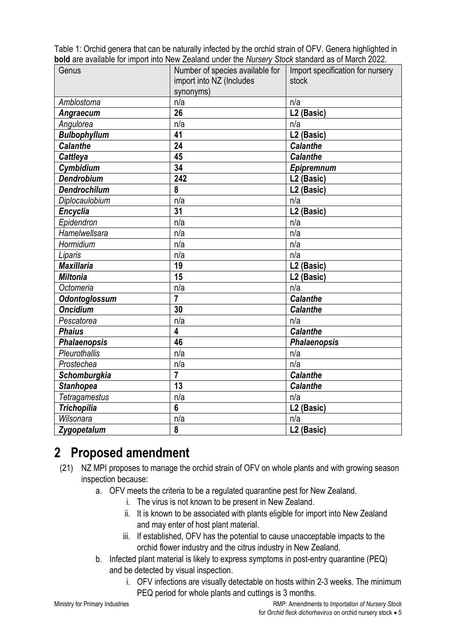Table 1: Orchid genera that can be naturally infected by the orchid strain of OFV. Genera highlighted in **bold** are available for import into New Zealand under the *Nursery Stock* standard as of March 2022.

| Genus                | Number of species available for | Import specification for nursery |
|----------------------|---------------------------------|----------------------------------|
|                      | import into NZ (Includes        | stock                            |
|                      | synonyms)                       |                                  |
| Amblostoma           | n/a                             | n/a                              |
| Angraecum            | 26                              | L2 (Basic)                       |
| Angulorea            | n/a                             | n/a                              |
| <b>Bulbophyllum</b>  | 41                              | L2 (Basic)                       |
| <b>Calanthe</b>      | 24                              | <b>Calanthe</b>                  |
| Cattleya             | 45                              | <b>Calanthe</b>                  |
| Cymbidium            | 34                              | Epipremnum                       |
| <b>Dendrobium</b>    | 242                             | L <sub>2</sub> (Basic)           |
| <b>Dendrochilum</b>  | 8                               | L <sub>2</sub> (Basic)           |
| Diplocaulobium       | n/a                             | n/a                              |
| <b>Encyclia</b>      | 31                              | L <sub>2</sub> (Basic)           |
| Epidendron           | n/a                             | n/a                              |
| Hamelwellsara        | n/a                             | n/a                              |
| Hormidium            | n/a                             | n/a                              |
| Liparis              | n/a                             | n/a                              |
| <b>Maxillaria</b>    | 19                              | L2 (Basic)                       |
| <b>Miltonia</b>      | 15                              | L <sub>2</sub> (Basic)           |
| Octomeria            | n/a                             | n/a                              |
| <b>Odontoglossum</b> | $\overline{7}$                  | <b>Calanthe</b>                  |
| <b>Oncidium</b>      | 30                              | <b>Calanthe</b>                  |
| Pescatorea           | n/a                             | n/a                              |
| <b>Phaius</b>        | 4                               | <b>Calanthe</b>                  |
| <b>Phalaenopsis</b>  | 46                              | <b>Phalaenopsis</b>              |
| Pleurothallis        | n/a                             | n/a                              |
| Prostechea           | n/a                             | n/a                              |
| <b>Schomburgkia</b>  | $\overline{7}$                  | <b>Calanthe</b>                  |
| <b>Stanhopea</b>     | 13                              | <b>Calanthe</b>                  |
| <b>Tetragamestus</b> | n/a                             | n/a                              |
| <b>Trichopilia</b>   | $6\phantom{a}$                  | L2 (Basic)                       |
| Wilsonara            | n/a                             | n/a                              |
| Zygopetalum          | 8                               | L <sub>2</sub> (Basic)           |

### **2 Proposed amendment**

- (21) NZ MPI proposes to manage the orchid strain of OFV on whole plants and with growing season inspection because:
	- a. OFV meets the criteria to be a regulated quarantine pest for New Zealand.
		- i. The virus is not known to be present in New Zealand.
		- ii. It is known to be associated with plants eligible for import into New Zealand and may enter of host plant material.
		- iii. If established, OFV has the potential to cause unacceptable impacts to the orchid flower industry and the citrus industry in New Zealand.
	- b. Infected plant material is likely to express symptoms in post-entry quarantine (PEQ) and be detected by visual inspection.
		- i. OFV infections are visually detectable on hosts within 2-3 weeks. The minimum PEQ period for whole plants and cuttings is 3 months.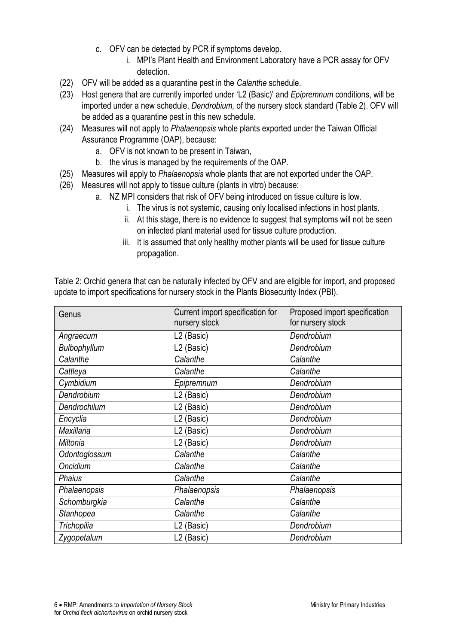- c. OFV can be detected by PCR if symptoms develop.
	- i. MPI's Plant Health and Environment Laboratory have a PCR assay for OFV detection.
- (22) OFV will be added as a quarantine pest in the *Calanthe* schedule.
- (23) Host genera that are currently imported under 'L2 (Basic)' and *Epipremnum* conditions, will be imported under a new schedule, *Dendrobium,* of the nursery stock standard (Table 2). OFV will be added as a quarantine pest in this new schedule.
- (24) Measures will not apply to *Phalaenopsis* whole plants exported under the Taiwan Official Assurance Programme (OAP), because:
	- a. OFV is not known to be present in Taiwan,
	- b. the virus is managed by the requirements of the OAP.
- (25) Measures will apply to *Phalaenopsis* whole plants that are not exported under the OAP.
- (26) Measures will not apply to tissue culture (plants in vitro) because:
	- a. NZ MPI considers that risk of OFV being introduced on tissue culture is low.
		- i. The virus is not systemic, causing only localised infections in host plants.
		- ii. At this stage, there is no evidence to suggest that symptoms will not be seen on infected plant material used for tissue culture production.
		- iii. It is assumed that only healthy mother plants will be used for tissue culture propagation.

| Genus         | Current import specification for<br>nursery stock | Proposed import specification<br>for nursery stock |
|---------------|---------------------------------------------------|----------------------------------------------------|
| Angraecum     | L2 (Basic)                                        | Dendrobium                                         |
| Bulbophyllum  | L2 (Basic)                                        | Dendrobium                                         |
| Calanthe      | Calanthe                                          | Calanthe                                           |
| Cattleya      | Calanthe                                          | Calanthe                                           |
| Cymbidium     | Epipremnum                                        | Dendrobium                                         |
| Dendrobium    | L <sub>2</sub> (Basic)                            | Dendrobium                                         |
| Dendrochilum  | L2 (Basic)                                        | Dendrobium                                         |
| Encyclia      | L2 (Basic)                                        | Dendrobium                                         |
| Maxillaria    | L <sub>2</sub> (Basic)                            | Dendrobium                                         |
| Miltonia      | L2 (Basic)                                        | Dendrobium                                         |
| Odontoglossum | Calanthe                                          | Calanthe                                           |
| Oncidium      | Calanthe                                          | Calanthe                                           |
| <b>Phaius</b> | Calanthe                                          | Calanthe                                           |
| Phalaenopsis  | Phalaenopsis                                      | Phalaenopsis                                       |
| Schomburgkia  | Calanthe                                          | Calanthe                                           |
| Stanhopea     | Calanthe                                          | Calanthe                                           |
| Trichopilia   | L2 (Basic)                                        | Dendrobium                                         |
| Zygopetalum   | L <sub>2</sub> (Basic)                            | Dendrobium                                         |

Table 2: Orchid genera that can be naturally infected by OFV and are eligible for import, and proposed update to import specifications for nursery stock in the Plants Biosecurity Index (PBI).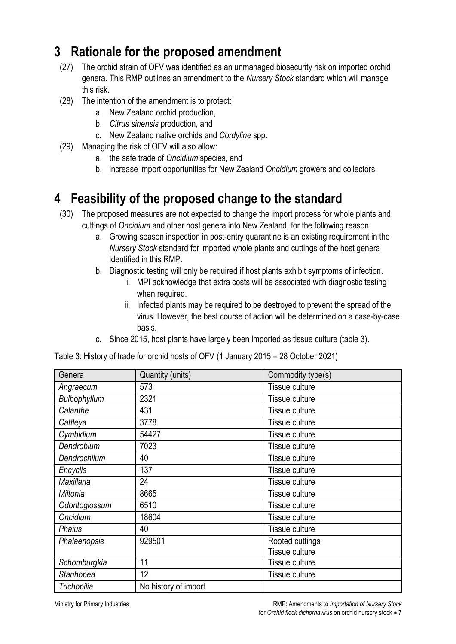### **3 Rationale for the proposed amendment**

- (27) The orchid strain of OFV was identified as an unmanaged biosecurity risk on imported orchid genera. This RMP outlines an amendment to the *Nursery Stock* standard which will manage this risk.
- (28) The intention of the amendment is to protect:
	- a. New Zealand orchid production,
	- b. *Citrus sinensis* production, and
	- c. New Zealand native orchids and *Cordyline* spp.
- (29) Managing the risk of OFV will also allow:
	- a. the safe trade of *Oncidium* species, and
	- b. increase import opportunities for New Zealand *Oncidium* growers and collectors.

### **4 Feasibility of the proposed change to the standard**

- (30) The proposed measures are not expected to change the import process for whole plants and cuttings of *Oncidium* and other host genera into New Zealand, for the following reason:
	- a. Growing season inspection in post-entry quarantine is an existing requirement in the *Nursery Stock* standard for imported whole plants and cuttings of the host genera identified in this RMP.
	- b. Diagnostic testing will only be required if host plants exhibit symptoms of infection.
		- i. MPI acknowledge that extra costs will be associated with diagnostic testing when required.
		- ii. Infected plants may be required to be destroyed to prevent the spread of the virus. However, the best course of action will be determined on a case-by-case basis.
	- c. Since 2015, host plants have largely been imported as tissue culture (table 3).

| Genera        | Quantity (units)     | Commodity type(s) |
|---------------|----------------------|-------------------|
| Angraecum     | 573                  | Tissue culture    |
| Bulbophyllum  | 2321                 | Tissue culture    |
| Calanthe      | 431                  | Tissue culture    |
| Cattleya      | 3778                 | Tissue culture    |
| Cymbidium     | 54427                | Tissue culture    |
| Dendrobium    | 7023                 | Tissue culture    |
| Dendrochilum  | 40                   | Tissue culture    |
| Encyclia      | 137                  | Tissue culture    |
| Maxillaria    | 24                   | Tissue culture    |
| Miltonia      | 8665                 | Tissue culture    |
| Odontoglossum | 6510                 | Tissue culture    |
| Oncidium      | 18604                | Tissue culture    |
| <b>Phaius</b> | 40                   | Tissue culture    |
| Phalaenopsis  | 929501               | Rooted cuttings   |
|               |                      | Tissue culture    |
| Schomburgkia  | 11                   | Tissue culture    |
| Stanhopea     | 12                   | Tissue culture    |
| Trichopilia   | No history of import |                   |

Table 3: History of trade for orchid hosts of OFV (1 January 2015 – 28 October 2021)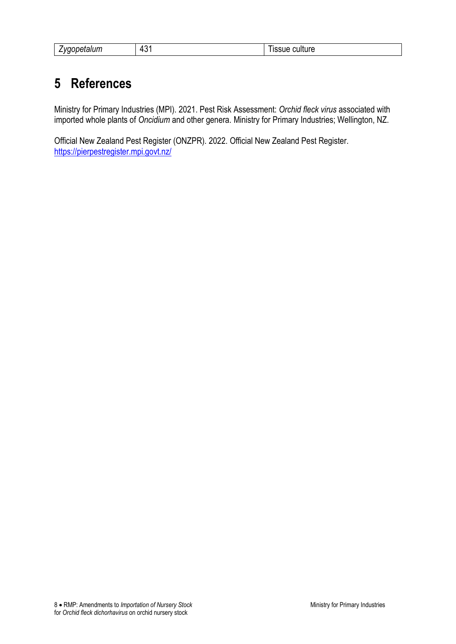| .<br>.<br>$\mathcal{U}^{\mathcal{C}}$<br>staium<br>- | $\sim$<br>.<br>$\sqrt{ }$<br>_<br>. | -<br><br>.<br>זנטו כ<br>71 IF |
|------------------------------------------------------|-------------------------------------|-------------------------------|
|------------------------------------------------------|-------------------------------------|-------------------------------|

### **5 References**

Ministry for Primary Industries (MPI). 2021. Pest Risk Assessment: *Orchid fleck virus* associated with imported whole plants of *Oncidium* and other genera. Ministry for Primary Industries; Wellington, NZ.

Official New Zealand Pest Register (ONZPR). 2022. Official New Zealand Pest Register. <https://pierpestregister.mpi.govt.nz/>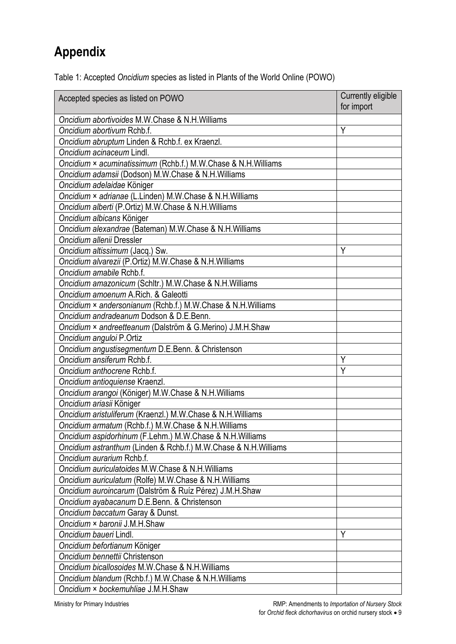## **Appendix**

| Table 1: Accepted Oncidium species as listed in Plants of the World Online (POWO) |  |  |  |  |  |  |
|-----------------------------------------------------------------------------------|--|--|--|--|--|--|
|-----------------------------------------------------------------------------------|--|--|--|--|--|--|

| Accepted species as listed on POWO                              | Currently eligible<br>for import |
|-----------------------------------------------------------------|----------------------------------|
| Oncidium abortivoides M.W.Chase & N.H.Williams                  |                                  |
| Oncidium abortivum Rchb.f.                                      | Υ                                |
| Oncidium abruptum Linden & Rchb.f. ex Kraenzl.                  |                                  |
| Oncidium acinaceum Lindl.                                       |                                  |
| Oncidium × acuminatissimum (Rchb.f.) M.W.Chase & N.H.Williams   |                                  |
| Oncidium adamsii (Dodson) M.W.Chase & N.H.Williams              |                                  |
| Oncidium adelaidae Königer                                      |                                  |
| Oncidium × adrianae (L.Linden) M.W.Chase & N.H.Williams         |                                  |
| Oncidium alberti (P.Ortiz) M.W.Chase & N.H.Williams             |                                  |
| Oncidium albicans Königer                                       |                                  |
| Oncidium alexandrae (Bateman) M.W.Chase & N.H.Williams          |                                  |
| Oncidium allenii Dressler                                       |                                  |
| Oncidium altissimum (Jacq.) Sw.                                 | Υ                                |
| Oncidium alvarezii (P.Ortiz) M.W.Chase & N.H.Williams           |                                  |
| Oncidium amabile Rchb.f.                                        |                                  |
| Oncidium amazonicum (Schltr.) M.W.Chase & N.H.Williams          |                                  |
| Oncidium amoenum A.Rich. & Galeotti                             |                                  |
| Oncidium × andersonianum (Rchb.f.) M.W.Chase & N.H.Williams     |                                  |
| Oncidium andradeanum Dodson & D.E.Benn.                         |                                  |
| Oncidium × andreetteanum (Dalström & G.Merino) J.M.H.Shaw       |                                  |
| Oncidium anguloi P.Ortiz                                        |                                  |
| Oncidium angustisegmentum D.E.Benn. & Christenson               |                                  |
| Oncidium ansiferum Rchb.f.                                      | Υ                                |
| Oncidium anthocrene Rchb.f.                                     | Υ                                |
| Oncidium antioquiense Kraenzl.                                  |                                  |
| Oncidium arangoi (Königer) M.W.Chase & N.H.Williams             |                                  |
| Oncidium ariasii Königer                                        |                                  |
| Oncidium aristuliferum (Kraenzl.) M.W.Chase & N.H.Williams      |                                  |
| Oncidium armatum (Rchb.f.) M.W.Chase & N.H.Williams             |                                  |
| Oncidium aspidorhinum (F.Lehm.) M.W.Chase & N.H.Williams        |                                  |
| Oncidium astranthum (Linden & Rchb.f.) M.W.Chase & N.H.Williams |                                  |
| Oncidium aurarium Rchb.f.                                       |                                  |
| Oncidium auriculatoides M.W.Chase & N.H.Williams                |                                  |
| Oncidium auriculatum (Rolfe) M.W.Chase & N.H.Williams           |                                  |
| Oncidium auroincarum (Dalström & Ruíz Pérez) J.M.H.Shaw         |                                  |
| Oncidium ayabacanum D.E.Benn. & Christenson                     |                                  |
| Oncidium baccatum Garay & Dunst.                                |                                  |
| Oncidium × baronii J.M.H.Shaw                                   |                                  |
| Oncidium baueri Lindl.                                          | Υ                                |
| Oncidium befortianum Königer                                    |                                  |
| Oncidium bennettii Christenson                                  |                                  |
| Oncidium bicallosoides M.W.Chase & N.H.Williams                 |                                  |
| Oncidium blandum (Rchb.f.) M.W.Chase & N.H.Williams             |                                  |
| Oncidium × bockemuhliae J.M.H.Shaw                              |                                  |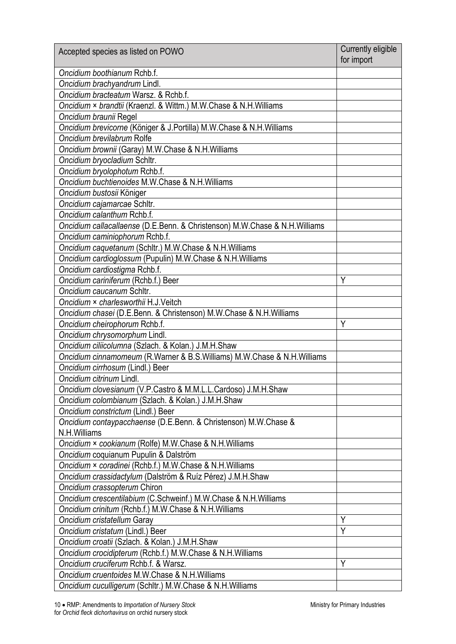| Accepted species as listed on POWO                                         | Currently eligible<br>for import |
|----------------------------------------------------------------------------|----------------------------------|
| Oncidium boothianum Rchb.f.                                                |                                  |
| Oncidium brachyandrum Lindl.                                               |                                  |
| Oncidium bracteatum Warsz. & Rchb.f.                                       |                                  |
| Oncidium × brandtii (Kraenzl. & Wittm.) M.W.Chase & N.H.Williams           |                                  |
| Oncidium braunii Regel                                                     |                                  |
| Oncidium brevicorne (Königer & J.Portilla) M.W.Chase & N.H.Williams        |                                  |
| Oncidium brevilabrum Rolfe                                                 |                                  |
| Oncidium brownii (Garay) M.W.Chase & N.H.Williams                          |                                  |
| Oncidium bryocladium Schltr.                                               |                                  |
| Oncidium bryolophotum Rchb.f.                                              |                                  |
| Oncidium buchtienoides M.W.Chase & N.H.Williams                            |                                  |
| Oncidium bustosii Königer                                                  |                                  |
| Oncidium cajamarcae Schltr.                                                |                                  |
| Oncidium calanthum Rchb.f.                                                 |                                  |
| Oncidium callacallaense (D.E.Benn. & Christenson) M.W.Chase & N.H.Williams |                                  |
| Oncidium caminiophorum Rchb.f.                                             |                                  |
| Oncidium caquetanum (Schltr.) M.W.Chase & N.H.Williams                     |                                  |
| Oncidium cardioglossum (Pupulin) M.W.Chase & N.H.Williams                  |                                  |
| Oncidium cardiostigma Rchb.f.                                              |                                  |
| Oncidium cariniferum (Rchb.f.) Beer                                        | Y                                |
| Oncidium caucanum Schltr.                                                  |                                  |
| Oncidium × charlesworthii H.J.Veitch                                       |                                  |
| Oncidium chasei (D.E.Benn. & Christenson) M.W.Chase & N.H.Williams         |                                  |
| Oncidium cheirophorum Rchb.f.                                              | Υ                                |
| Oncidium chrysomorphum Lindl.                                              |                                  |
| Oncidium ciliicolumna (Szlach. & Kolan.) J.M.H.Shaw                        |                                  |
| Oncidium cinnamomeum (R.Warner & B.S.Williams) M.W.Chase & N.H.Williams    |                                  |
| Oncidium cirrhosum (Lindl.) Beer                                           |                                  |
| Oncidium citrinum Lindl.                                                   |                                  |
| Oncidium clovesianum (V.P.Castro & M.M.L.L.Cardoso) J.M.H.Shaw             |                                  |
| Oncidium colombianum (Szlach. & Kolan.) J.M.H.Shaw                         |                                  |
| Oncidium constrictum (Lindl.) Beer                                         |                                  |
| Oncidium contaypacchaense (D.E.Benn. & Christenson) M.W.Chase &            |                                  |
| N.H. Williams                                                              |                                  |
| Oncidium × cookianum (Rolfe) M.W.Chase & N.H.Williams                      |                                  |
| Oncidium coquianum Pupulin & Dalström                                      |                                  |
| Oncidium × coradinei (Rchb.f.) M.W.Chase & N.H.Williams                    |                                  |
| Oncidium crassidactylum (Dalström & Ruíz Pérez) J.M.H.Shaw                 |                                  |
| Oncidium crassopterum Chiron                                               |                                  |
| Oncidium crescentilabium (C.Schweinf.) M.W.Chase & N.H.Williams            |                                  |
| Oncidium crinitum (Rchb.f.) M.W.Chase & N.H.Williams                       |                                  |
| Oncidium cristatellum Garay                                                | Y                                |
| Oncidium cristatum (Lindl.) Beer                                           | Y                                |
| Oncidium croatii (Szlach. & Kolan.) J.M.H.Shaw                             |                                  |
| Oncidium crocidipterum (Rchb.f.) M.W.Chase & N.H.Williams                  |                                  |
| Oncidium cruciferum Rchb.f. & Warsz.                                       | Y                                |
| Oncidium cruentoides M.W.Chase & N.H.Williams                              |                                  |
| Oncidium cuculligerum (Schltr.) M.W.Chase & N.H.Williams                   |                                  |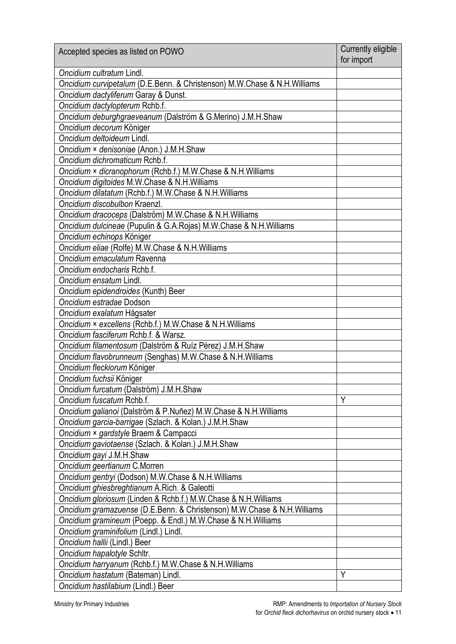| Accepted species as listed on POWO                                       | Currently eligible<br>for import |
|--------------------------------------------------------------------------|----------------------------------|
| Oncidium cultratum Lindl.                                                |                                  |
| Oncidium curvipetalum (D.E.Benn. & Christenson) M.W.Chase & N.H.Williams |                                  |
| Oncidium dactyliferum Garay & Dunst.                                     |                                  |
| Oncidium dactylopterum Rchb.f.                                           |                                  |
| Oncidium deburghgraeveanum (Dalström & G.Merino) J.M.H.Shaw              |                                  |
| Oncidium decorum Königer                                                 |                                  |
| Oncidium deltoideum Lindl.                                               |                                  |
| Oncidium × denisoniae (Anon.) J.M.H.Shaw                                 |                                  |
| Oncidium dichromaticum Rchb.f.                                           |                                  |
| Oncidium × dicranophorum (Rchb.f.) M.W.Chase & N.H.Williams              |                                  |
| Oncidium digitoides M.W.Chase & N.H.Williams                             |                                  |
| Oncidium dilatatum (Rchb.f.) M.W.Chase & N.H.Williams                    |                                  |
| Oncidium discobulbon Kraenzl.                                            |                                  |
| Oncidium dracoceps (Dalström) M.W.Chase & N.H.Williams                   |                                  |
| Oncidium dulcineae (Pupulin & G.A.Rojas) M.W.Chase & N.H.Williams        |                                  |
| Oncidium echinops Königer                                                |                                  |
| Oncidium eliae (Rolfe) M.W.Chase & N.H.Williams                          |                                  |
| Oncidium emaculatum Ravenna                                              |                                  |
| Oncidium endocharis Rchb.f.                                              |                                  |
| Oncidium ensatum Lindl.                                                  |                                  |
| Oncidium epidendroides (Kunth) Beer                                      |                                  |
| Oncidium estradae Dodson                                                 |                                  |
| Oncidium exalatum Hágsater                                               |                                  |
| Oncidium × excellens (Rchb.f.) M.W.Chase & N.H.Williams                  |                                  |
| Oncidium fasciferum Rchb.f. & Warsz.                                     |                                  |
| Oncidium filamentosum (Dalström & Ruíz Pérez) J.M.H.Shaw                 |                                  |
| Oncidium flavobrunneum (Senghas) M.W.Chase & N.H.Williams                |                                  |
| Oncidium fleckiorum Königer                                              |                                  |
| Oncidium fuchsii Königer                                                 |                                  |
| Oncidium furcatum (Dalström) J.M.H.Shaw                                  |                                  |
| Oncidium fuscatum Rchb.f.                                                | Y                                |
| Oncidium galianoi (Dalström & P.Nuñez) M.W.Chase & N.H.Williams          |                                  |
| Oncidium garcia-barrigae (Szlach. & Kolan.) J.M.H.Shaw                   |                                  |
| Oncidium × gardstyle Braem & Campacci                                    |                                  |
| Oncidium gaviotaense (Szlach. & Kolan.) J.M.H.Shaw                       |                                  |
| Oncidium gayi J.M.H.Shaw                                                 |                                  |
| Oncidium geertianum C.Morren                                             |                                  |
| Oncidium gentryi (Dodson) M.W.Chase & N.H.Williams                       |                                  |
| Oncidium ghiesbreghtianum A.Rich. & Galeotti                             |                                  |
| Oncidium gloriosum (Linden & Rchb.f.) M.W.Chase & N.H.Williams           |                                  |
| Oncidium gramazuense (D.E.Benn. & Christenson) M.W.Chase & N.H.Williams  |                                  |
| Oncidium gramineum (Poepp. & Endl.) M.W.Chase & N.H.Williams             |                                  |
| Oncidium graminifolium (Lindl.) Lindl.                                   |                                  |
| Oncidium hallii (Lindl.) Beer                                            |                                  |
| Oncidium hapalotyle Schltr.                                              |                                  |
| Oncidium harryanum (Rchb.f.) M.W.Chase & N.H.Williams                    |                                  |
| Oncidium hastatum (Bateman) Lindl.                                       | Y                                |
| Oncidium hastilabium (Lindl.) Beer                                       |                                  |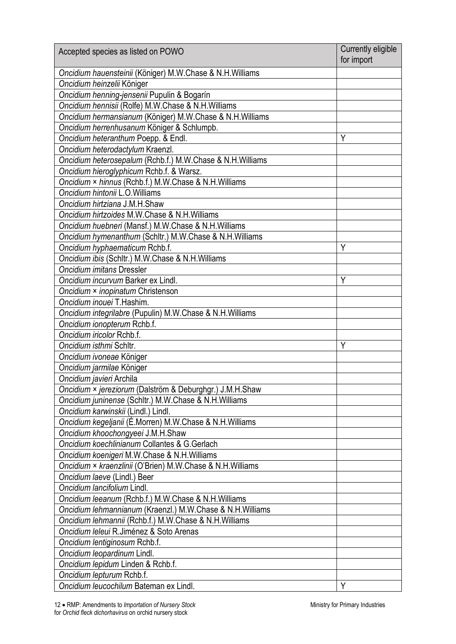| Accepted species as listed on POWO                        | Currently eligible<br>for import |
|-----------------------------------------------------------|----------------------------------|
| Oncidium hauensteinii (Königer) M.W.Chase & N.H.Williams  |                                  |
| Oncidium heinzelii Königer                                |                                  |
| Oncidium henning-jensenii Pupulin & Bogarín               |                                  |
| Oncidium hennisii (Rolfe) M.W.Chase & N.H.Williams        |                                  |
| Oncidium hermansianum (Königer) M.W.Chase & N.H.Williams  |                                  |
| Oncidium herrenhusanum Königer & Schlumpb.                |                                  |
| Oncidium heteranthum Poepp. & Endl.                       | Y                                |
| Oncidium heterodactylum Kraenzl.                          |                                  |
| Oncidium heterosepalum (Rchb.f.) M.W.Chase & N.H.Williams |                                  |
| Oncidium hieroglyphicum Rchb.f. & Warsz.                  |                                  |
| Oncidium × hinnus (Rchb.f.) M.W.Chase & N.H.Williams      |                                  |
| Oncidium hintonii L.O.Williams                            |                                  |
| Oncidium hirtziana J.M.H.Shaw                             |                                  |
| Oncidium hirtzoides M.W.Chase & N.H.Williams              |                                  |
| Oncidium huebneri (Mansf.) M.W.Chase & N.H.Williams       |                                  |
| Oncidium hymenanthum (Schltr.) M.W.Chase & N.H.Williams   |                                  |
| Oncidium hyphaematicum Rchb.f.                            | Υ                                |
| Oncidium ibis (Schltr.) M.W.Chase & N.H.Williams          |                                  |
| Oncidium imitans Dressler                                 |                                  |
| Oncidium incurvum Barker ex Lindl.                        | Y                                |
| Oncidium × inopinatum Christenson                         |                                  |
| Oncidium inouei T.Hashim.                                 |                                  |
| Oncidium integrilabre (Pupulin) M.W.Chase & N.H.Williams  |                                  |
| Oncidium ionopterum Rchb.f.                               |                                  |
| Oncidium iricolor Rchb.f.                                 |                                  |
| Oncidium isthmi Schltr.                                   | Y                                |
| Oncidium ivoneae Königer                                  |                                  |
| Oncidium jarmilae Königer                                 |                                  |
| Oncidium javieri Archila                                  |                                  |
| Oncidium × jereziorum (Dalström & Deburghgr.) J.M.H.Shaw  |                                  |
| Oncidium juninense (Schltr.) M.W.Chase & N.H.Williams     |                                  |
| Oncidium karwinskii (Lindl.) Lindl.                       |                                  |
| Oncidium kegeljanii (É.Morren) M.W.Chase & N.H.Williams   |                                  |
| Oncidium khoochongyeei J.M.H.Shaw                         |                                  |
| Oncidium koechlinianum Collantes & G.Gerlach              |                                  |
| Oncidium koenigeri M.W.Chase & N.H.Williams               |                                  |
| Oncidium × kraenzlinii (O'Brien) M.W.Chase & N.H.Williams |                                  |
| Oncidium laeve (Lindl.) Beer                              |                                  |
| Oncidium Iancifolium Lindl.                               |                                  |
| Oncidium leeanum (Rchb.f.) M.W.Chase & N.H.Williams       |                                  |
| Oncidium lehmannianum (Kraenzl.) M.W.Chase & N.H.Williams |                                  |
| Oncidium lehmannii (Rchb.f.) M.W.Chase & N.H.Williams     |                                  |
| Oncidium Ieleui R. Jiménez & Soto Arenas                  |                                  |
| Oncidium lentiginosum Rchb.f.                             |                                  |
| Oncidium leopardinum Lindl.                               |                                  |
| Oncidium lepidum Linden & Rchb.f.                         |                                  |
| Oncidium lepturum Rchb.f.                                 |                                  |
| Oncidium leucochilum Bateman ex Lindl.                    | Y                                |
|                                                           |                                  |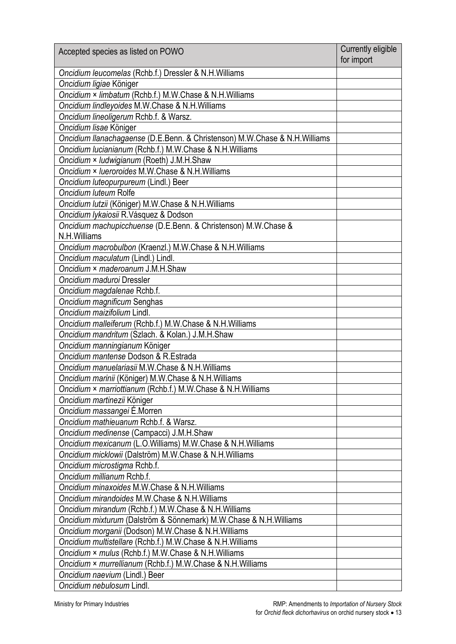| Accepted species as listed on POWO                                         | Currently eligible<br>for import |
|----------------------------------------------------------------------------|----------------------------------|
| Oncidium leucomelas (Rchb.f.) Dressler & N.H. Williams                     |                                  |
| Oncidium ligiae Königer                                                    |                                  |
| Oncidium × limbatum (Rchb.f.) M.W.Chase & N.H.Williams                     |                                  |
| Oncidium lindleyoides M.W.Chase & N.H.Williams                             |                                  |
| Oncidium lineoligerum Rchb.f. & Warsz.                                     |                                  |
| Oncidium lisae Königer                                                     |                                  |
| Oncidium llanachagaense (D.E.Benn. & Christenson) M.W.Chase & N.H.Williams |                                  |
| Oncidium Iucianianum (Rchb.f.) M.W.Chase & N.H.Williams                    |                                  |
| Oncidium × Iudwigianum (Roeth) J.M.H.Shaw                                  |                                  |
| Oncidium × Iueroroides M.W.Chase & N.H.Williams                            |                                  |
| Oncidium luteopurpureum (Lindl.) Beer                                      |                                  |
| Oncidium luteum Rolfe                                                      |                                  |
| Oncidium lutzii (Königer) M.W.Chase & N.H.Williams                         |                                  |
| Oncidium lykaiosii R.Vásquez & Dodson                                      |                                  |
| Oncidium machupicchuense (D.E.Benn. & Christenson) M.W.Chase &             |                                  |
| N.H. Williams                                                              |                                  |
| Oncidium macrobulbon (Kraenzl.) M.W.Chase & N.H.Williams                   |                                  |
| Oncidium maculatum (Lindl.) Lindl.                                         |                                  |
| Oncidium × maderoanum J.M.H.Shaw                                           |                                  |
| Oncidium maduroi Dressler                                                  |                                  |
| Oncidium magdalenae Rchb.f.                                                |                                  |
| Oncidium magnificum Senghas                                                |                                  |
| Oncidium maizifolium Lindl.                                                |                                  |
| Oncidium malleiferum (Rchb.f.) M.W.Chase & N.H.Williams                    |                                  |
| Oncidium mandritum (Szlach. & Kolan.) J.M.H.Shaw                           |                                  |
| Oncidium manningianum Königer                                              |                                  |
| Oncidium mantense Dodson & R.Estrada                                       |                                  |
| Oncidium manuelariasii M.W.Chase & N.H.Williams                            |                                  |
| Oncidium marinii (Königer) M.W.Chase & N.H.Williams                        |                                  |
| Oncidium × marriottianum (Rchb.f.) M.W.Chase & N.H.Williams                |                                  |
| Oncidium martinezii Königer                                                |                                  |
| Oncidium massangei É.Morren                                                |                                  |
| Oncidium mathieuanum Rchb.f. & Warsz.                                      |                                  |
| Oncidium medinense (Campacci) J.M.H.Shaw                                   |                                  |
| Oncidium mexicanum (L.O.Williams) M.W.Chase & N.H.Williams                 |                                  |
| Oncidium micklowii (Dalström) M.W.Chase & N.H.Williams                     |                                  |
| Oncidium microstigma Rchb.f.                                               |                                  |
| Oncidium millianum Rchb.f.                                                 |                                  |
| Oncidium minaxoides M.W.Chase & N.H.Williams                               |                                  |
| Oncidium mirandoides M.W.Chase & N.H.Williams                              |                                  |
| Oncidium mirandum (Rchb.f.) M.W.Chase & N.H.Williams                       |                                  |
| Oncidium mixturum (Dalström & Sönnemark) M.W.Chase & N.H.Williams          |                                  |
| Oncidium morganii (Dodson) M.W.Chase & N.H.Williams                        |                                  |
| Oncidium multistellare (Rchb.f.) M.W.Chase & N.H.Williams                  |                                  |
| Oncidium × mulus (Rchb.f.) M.W.Chase & N.H.Williams                        |                                  |
| Oncidium × murrellianum (Rchb.f.) M.W.Chase & N.H.Williams                 |                                  |
| Oncidium naevium (Lindl.) Beer                                             |                                  |
| Oncidium nebulosum Lindl.                                                  |                                  |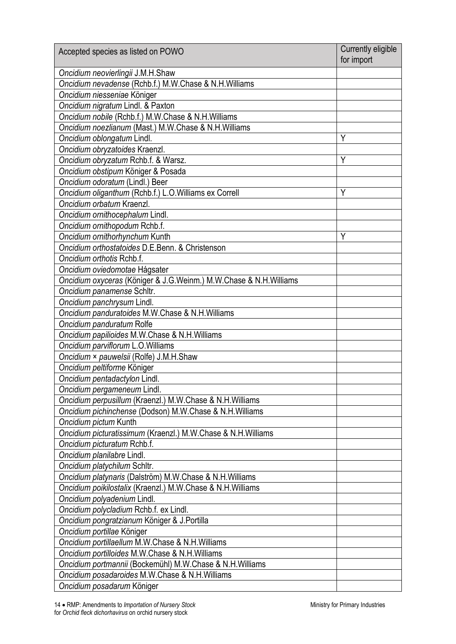| Accepted species as listed on POWO                                                      | Currently eligible<br>for import |
|-----------------------------------------------------------------------------------------|----------------------------------|
| Oncidium neovierlingii J.M.H.Shaw                                                       |                                  |
| Oncidium nevadense (Rchb.f.) M.W.Chase & N.H.Williams                                   |                                  |
| Oncidium niesseniae Königer                                                             |                                  |
| Oncidium nigratum Lindl. & Paxton                                                       |                                  |
| Oncidium nobile (Rchb.f.) M.W.Chase & N.H.Williams                                      |                                  |
| Oncidium noezlianum (Mast.) M.W.Chase & N.H.Williams                                    |                                  |
| Oncidium oblongatum Lindl.                                                              | Y                                |
| Oncidium obryzatoides Kraenzl.                                                          |                                  |
| Oncidium obryzatum Rchb.f. & Warsz.                                                     | Y                                |
| Oncidium obstipum Königer & Posada                                                      |                                  |
| Oncidium odoratum (Lindl.) Beer                                                         |                                  |
| Oncidium oliganthum (Rchb.f.) L.O. Williams ex Correll                                  | Y                                |
| Oncidium orbatum Kraenzl.                                                               |                                  |
| Oncidium ornithocephalum Lindl.                                                         |                                  |
| Oncidium ornithopodum Rchb.f.                                                           |                                  |
| Oncidium ornithorhynchum Kunth                                                          | Y                                |
| Oncidium orthostatoides D.E.Benn. & Christenson                                         |                                  |
| Oncidium orthotis Rchb.f.                                                               |                                  |
| Oncidium oviedomotae Hágsater                                                           |                                  |
| Oncidium oxyceras (Königer & J.G.Weinm.) M.W.Chase & N.H.Williams                       |                                  |
| Oncidium panamense Schltr.                                                              |                                  |
| Oncidium panchrysum Lindl.                                                              |                                  |
| Oncidium panduratoides M.W.Chase & N.H.Williams                                         |                                  |
| Oncidium panduratum Rolfe                                                               |                                  |
| Oncidium papilioides M.W.Chase & N.H.Williams                                           |                                  |
| Oncidium parviflorum L.O. Williams                                                      |                                  |
|                                                                                         |                                  |
| Oncidium × pauwelsii (Rolfe) J.M.H.Shaw                                                 |                                  |
| Oncidium peltiforme Königer                                                             |                                  |
| Oncidium pentadactylon Lindl.                                                           |                                  |
| Oncidium pergameneum Lindl.<br>Oncidium perpusillum (Kraenzl.) M.W.Chase & N.H.Williams |                                  |
|                                                                                         |                                  |
| Oncidium pichinchense (Dodson) M.W.Chase & N.H.Williams                                 |                                  |
| Oncidium pictum Kunth                                                                   |                                  |
| Oncidium picturatissimum (Kraenzl.) M.W.Chase & N.H.Williams                            |                                  |
| Oncidium picturatum Rchb.f.                                                             |                                  |
| Oncidium planilabre Lindl.                                                              |                                  |
| Oncidium platychilum Schltr.                                                            |                                  |
| Oncidium platynaris (Dalström) M.W.Chase & N.H.Williams                                 |                                  |
| Oncidium poikilostalix (Kraenzl.) M.W.Chase & N.H.Williams                              |                                  |
| Oncidium polyadenium Lindl.                                                             |                                  |
| Oncidium polycladium Rchb.f. ex Lindl.                                                  |                                  |
| Oncidium pongratzianum Königer & J.Portilla                                             |                                  |
| Oncidium portillae Königer                                                              |                                  |
| Oncidium portillaellum M.W.Chase & N.H.Williams                                         |                                  |
| Oncidium portilloides M.W.Chase & N.H.Williams                                          |                                  |
| Oncidium portmannii (Bockemühl) M.W.Chase & N.H.Williams                                |                                  |
| Oncidium posadaroides M.W.Chase & N.H.Williams                                          |                                  |
| Oncidium posadarum Königer                                                              |                                  |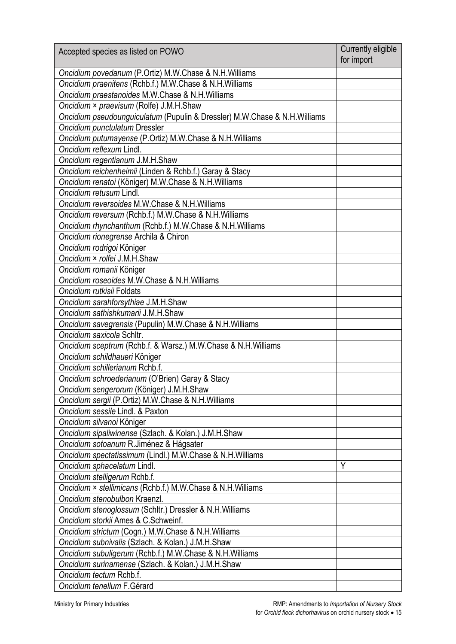| Accepted species as listed on POWO                                        | Currently eligible<br>for import |
|---------------------------------------------------------------------------|----------------------------------|
| Oncidium povedanum (P.Ortiz) M.W.Chase & N.H.Williams                     |                                  |
| Oncidium praenitens (Rchb.f.) M.W.Chase & N.H.Williams                    |                                  |
| Oncidium praestanoides M.W.Chase & N.H.Williams                           |                                  |
| Oncidium × praevisum (Rolfe) J.M.H.Shaw                                   |                                  |
| Oncidium pseudounguiculatum (Pupulin & Dressler) M.W.Chase & N.H.Williams |                                  |
| Oncidium punctulatum Dressler                                             |                                  |
| Oncidium putumayense (P.Ortiz) M.W.Chase & N.H.Williams                   |                                  |
| Oncidium reflexum Lindl.                                                  |                                  |
| Oncidium regentianum J.M.H.Shaw                                           |                                  |
| Oncidium reichenheimii (Linden & Rchb.f.) Garay & Stacy                   |                                  |
| Oncidium renatoi (Königer) M.W.Chase & N.H.Williams                       |                                  |
| Oncidium retusum Lindl.                                                   |                                  |
| Oncidium reversoides M.W.Chase & N.H.Williams                             |                                  |
| Oncidium reversum (Rchb.f.) M.W.Chase & N.H.Williams                      |                                  |
| Oncidium rhynchanthum (Rchb.f.) M.W.Chase & N.H.Williams                  |                                  |
| Oncidium rionegrense Archila & Chiron                                     |                                  |
| Oncidium rodrigoi Königer                                                 |                                  |
| Oncidium × rolfei J.M.H.Shaw                                              |                                  |
| Oncidium romanii Königer                                                  |                                  |
| Oncidium roseoides M.W.Chase & N.H.Williams                               |                                  |
| Oncidium rutkisii Foldats                                                 |                                  |
| Oncidium sarahforsythiae J.M.H.Shaw                                       |                                  |
| Oncidium sathishkumarii J.M.H.Shaw                                        |                                  |
| Oncidium savegrensis (Pupulin) M.W.Chase & N.H.Williams                   |                                  |
| Oncidium saxicola Schltr.                                                 |                                  |
| Oncidium sceptrum (Rchb.f. & Warsz.) M.W.Chase & N.H.Williams             |                                  |
| Oncidium schildhaueri Königer                                             |                                  |
| Oncidium schillerianum Rchb.f.                                            |                                  |
| Oncidium schroederianum (O'Brien) Garay & Stacy                           |                                  |
| Oncidium sengerorum (Königer) J.M.H.Shaw                                  |                                  |
| Oncidium sergii (P.Ortiz) M.W.Chase & N.H.Williams                        |                                  |
| Oncidium sessile Lindl. & Paxton                                          |                                  |
| Oncidium silvanoi Königer                                                 |                                  |
| Oncidium sipaliwinense (Szlach. & Kolan.) J.M.H.Shaw                      |                                  |
| Oncidium sotoanum R.Jiménez & Hágsater                                    |                                  |
| Oncidium spectatissimum (Lindl.) M.W.Chase & N.H.Williams                 |                                  |
| Oncidium sphacelatum Lindl.                                               | Y                                |
| Oncidium stelligerum Rchb.f.                                              |                                  |
| Oncidium × stellimicans (Rchb.f.) M.W.Chase & N.H.Williams                |                                  |
| Oncidium stenobulbon Kraenzl.                                             |                                  |
| Oncidium stenoglossum (Schltr.) Dressler & N.H. Williams                  |                                  |
| Oncidium storkii Ames & C.Schweinf.                                       |                                  |
| Oncidium strictum (Cogn.) M.W.Chase & N.H.Williams                        |                                  |
| Oncidium subnivalis (Szlach. & Kolan.) J.M.H.Shaw                         |                                  |
| Oncidium subuligerum (Rchb.f.) M.W.Chase & N.H.Williams                   |                                  |
| Oncidium surinamense (Szlach. & Kolan.) J.M.H.Shaw                        |                                  |
| Oncidium tectum Rchb.f.                                                   |                                  |
| Oncidium tenellum F.Gérard                                                |                                  |